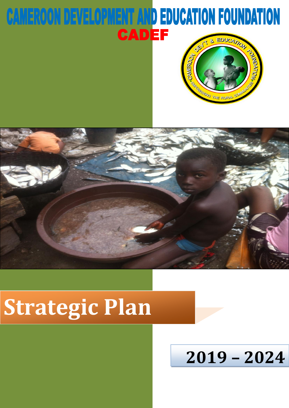# CAMEROON DEVELOPMENT AND EDUCATION FOUNDATION





## **Strategic Plan**

### **2019 – 2024**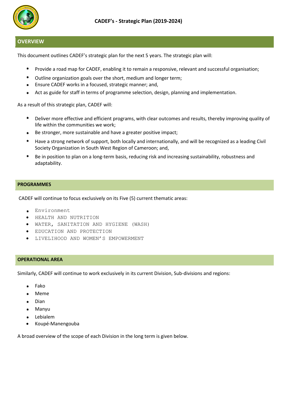

#### **OVERVIEW**

This document outlines CADEF's strategic plan for the next 5 years. The strategic plan will:

- $\bullet$ Provide a road map for CADEF, enabling it to remain a responsive, relevant and successful organisation;
- Outline organization goals over the short, medium and longer term;
- Ensure CADEF works in a focused, strategic manner; and,  $\bullet$
- Act as guide for staff in terms of programme selection, design, planning and implementation.  $\bullet$

As a result of this strategic plan, CADEF will:

- Deliver more effective and efficient programs, with clear outcomes and results, thereby improving quality of life within the communities we work;
- Be stronger, more sustainable and have a greater positive impact;  $\bullet$
- $\bullet$ Have a strong network of support, both locally and internationally, and will be recognized as a leading Civil Society Organization in South West Region of Cameroon; and,
- Be in position to plan on a long-term basis, reducing risk and increasing sustainability, robustness and adaptability.

#### **PROGRAMMES**

CADEF will continue to focus exclusively on its Five (5) current thematic areas:

- Environment  $\bullet$
- HEALTH AND NUTRITION
- WATER, SANITATION AND HYGIENE (WASH)
- EDUCATION AND PROTECTION
- LIVELIHOOD AND WOMEN'S EMPOWERMENT

#### **OPERATIONAL AREA**

Similarly, CADEF will continue to work exclusively in its current Division, Sub-divisions and regions:

- Fako ٠
- Meme
- Dian
- Manyu  $\bullet$
- Lebialem  $\bullet$
- Koupé-Manengouba

A broad overview of the scope of each Division in the long term is given below.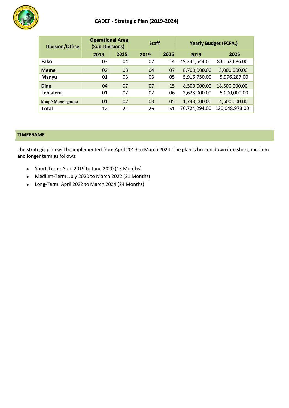

| <b>Division/Office</b> | <b>Operational Area</b><br>(Sub-Divisions) |      | <b>Staff</b> |      | <b>Yearly Budget (FCFA.)</b> |                |
|------------------------|--------------------------------------------|------|--------------|------|------------------------------|----------------|
|                        | 2019                                       | 2025 | 2019         | 2025 | 2019                         | 2025           |
| Fako                   | 03                                         | 04   | 07           | 14   | 49,241,544.00                | 83,052,686.00  |
| <b>Meme</b>            | 02                                         | 03   | 04           | 07   | 8,700,000.00                 | 3,000,000.00   |
| <b>Manyu</b>           | 01                                         | 03   | 03           | 05   | 5,916,750.00                 | 5,996,287.00   |
| <b>Dian</b>            | 04                                         | 07   | 07           | 15   | 8,500,000.00                 | 18,500,000.00  |
| <b>Lebialem</b>        | 01                                         | 02   | 02           | 06   | 2,623,000.00                 | 5,000,000.00   |
| Koupé Manengouba       | 01                                         | 02   | 03           | 05   | 1,743,000.00                 | 4,500,000.00   |
| <b>Total</b>           | 12                                         | 21   | 26           | 51   | 76,724,294.00                | 120,048,973.00 |

#### **TIMEFRAME**

The strategic plan will be implemented from April 2019 to March 2024. The plan is broken down into short, medium and longer term as follows:

- Short-Term: April 2019 to June 2020 (15 Months)  $\bullet$
- Medium-Term: July 2020 to March 2022 (21 Months)  $\bullet$
- Long-Term: April 2022 to March 2024 (24 Months) $\bullet$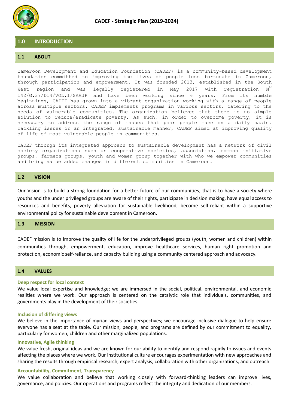

#### **1.0 INTRODUCTION**

#### **1.1 ABOUT**

Cameroon Development and Education Foundation (CADEF) is a community-based development foundation committed to improving the lives of people less fortunate in Cameroon, through participation and empowerment. It was founded 2013, established in the South West region and was legally registered in May 2017 with registration  $N^{\circ}$ 142/G.37/D14/VOL.I/SAAJP and have been working since 6 years. From its humble beginnings, CADEF has grown into a vibrant organization working with a range of people across multiple sectors. CADEF implements programs in various sectors, catering to the needs of vulnerable communities. The organization believes that there is no simple solution to reduce/eradicate poverty. As such, in order to overcome poverty, it is necessary to address the range of issues that poor people face on a daily basis. Tackling issues in an integrated, sustainable manner, CADEF aimed at improving quality of life of most vulnerable people in communities.

CADEF through its integrated approach to sustainable development has a network of civil society organizations such as cooperative societies, association, common initiative groups, farmers groups, youth and women group together with who we empower communities and bring value added changes in different communities in Cameroon.

#### **1.2 VISION**

Our Vision is to build a strong foundation for a better future of our communities, that is to have a society where youths and the under privileged groups are aware of their rights, participate in decision making, have equal access to resources and benefits, poverty alleviation for sustainable livelihood, become self-reliant within a supportive environmental policy for sustainable development in Cameroon.

#### **1.3 MISSION**

CADEF mission is to improve the quality of life for the underprivileged groups (youth, women and children) within communities through, empowerment, education, improve healthcare services, human right promotion and protection, economic self-reliance, and capacity building using a community centered approach and advocacy.

#### **1.4 VALUES**

#### **Deep respect for local context**

We value local expertise and knowledge; we are immersed in the social, political, environmental, and economic realities where we work. Our approach is centered on the catalytic role that individuals, communities, and governments play in the development of their societies.

#### **Inclusion of differing views**

We believe in the importance of myriad views and perspectives; we encourage inclusive dialogue to help ensure everyone has a seat at the table. Our mission, people, and programs are defined by our commitment to equality, particularly for women, children and other marginalized populations.

#### **Innovative, Agile thinking**

We value fresh, original ideas and we are known for our ability to identify and respond rapidly to issues and events affecting the places where we work. Our institutional culture encourages experimentation with new approaches and sharing the results through empirical research, expert analysis, collaboration with other organizations, and outreach.

#### **Accountability, Commitment, Transparency**

We value collaboration and believe that working closely with forward-thinking leaders can improve lives, governance, and policies. Our operations and programs reflect the integrity and dedication of our members.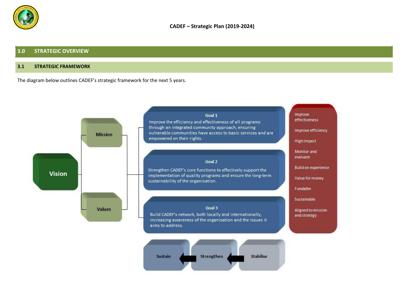

#### **3.0 STRATEGIC OVERVIEW**

#### **3.1 STRATEGIC FRAMEWORK**

The diagram below outlines CADEF's strategic framework for the next 5 years.

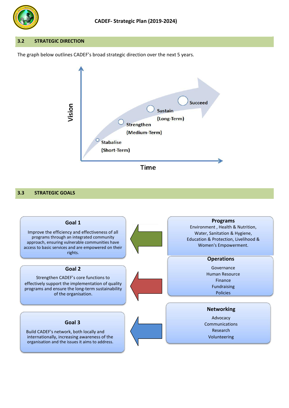

#### **3.2 STRATEGIC DIRECTION**

The graph below outlines CADEF's broad strategic direction over the next 5 years.



#### **3.3 STRATEGIC GOALS**

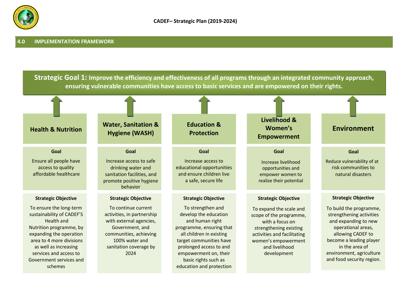

**Strategic Goal 1: Improve the efficiency and effectiveness of all programmes through an integrated**  Strategic Goal 1: Improve the efficiency and effectiveness of all programs through an integrated community approach, **their rights. ensuring vulnerable communities have access to basic services and are empowered on their rights.Health & Nutrition Water, Sanitation & Education & Hygiene (WASH) Protection Goal Goal Goal** Ensure all people have Increase access to safe Increase access to access to quality drinking water and educational opportunities affordable healthcare sanitation facilities, and and ensure children live promote positive hygiene a safe, secure life behavior **Strategic Objective Strategic Objective Strategic Objective** To ensure the long-term To continue current To strengthen and sustainability of CADEF'S activities, in partnership develop the education Health and with external agencies, and human right Nutrition programme, by Government, and programme, ensuring that expanding the operation communities, achieving all children in existing area to 4 more divisions 100% water and target communities have as well as increasing sanitation coverage by prolonged access to and services and access to 2024 empowerment on, their Government services and basic rights such as a such as a such as a such as a such as a such as a such as  $\sim$  500 km such as  $\sim$  500 km such as  $\sim$  500 km such as  $\sim$  500 km such as  $\sim$  500 km such as  $\sim$  500 km such schemes education and protection **Livelihood & Women's Empowerment Goal** Increase livelihood opportunities and empower women to realize their potential **Strategic Objective** To expand the scale and scope of the programme, with a focus on strengthening existing activities and facilitating women's empowerment and livelihood development **Environment Goal** Reduce vulnerability of at risk communities to natural disasters **Strategic Objective** To build the programme, strengthening activities and expanding to new operational areas, allowing CADEF to become a leading player in the area of environment, agriculture and food security region.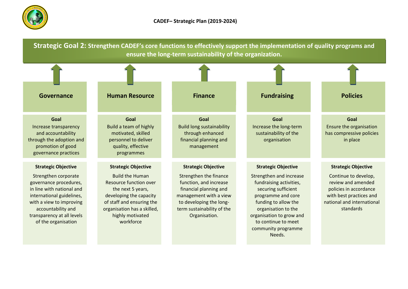

| Strategic Goal 2: Strengthen CADEF's core functions to effectively support the implementation of quality programs and<br>ensure the long-term sustainability of the organization.                                                             |                                                                                                                                                                                                                                    |                                                                                                                                                                                                              |                                                                                                                                                                                                                                                                  |                                                                                                                                                                          |  |  |  |  |
|-----------------------------------------------------------------------------------------------------------------------------------------------------------------------------------------------------------------------------------------------|------------------------------------------------------------------------------------------------------------------------------------------------------------------------------------------------------------------------------------|--------------------------------------------------------------------------------------------------------------------------------------------------------------------------------------------------------------|------------------------------------------------------------------------------------------------------------------------------------------------------------------------------------------------------------------------------------------------------------------|--------------------------------------------------------------------------------------------------------------------------------------------------------------------------|--|--|--|--|
|                                                                                                                                                                                                                                               |                                                                                                                                                                                                                                    |                                                                                                                                                                                                              |                                                                                                                                                                                                                                                                  |                                                                                                                                                                          |  |  |  |  |
| <b>Governance</b>                                                                                                                                                                                                                             | <b>Human Resource</b>                                                                                                                                                                                                              | <b>Finance</b>                                                                                                                                                                                               | <b>Fundraising</b>                                                                                                                                                                                                                                               | <b>Policies</b>                                                                                                                                                          |  |  |  |  |
| Goal<br>Increase transparency<br>and accountability<br>through the adoption and<br>promotion of good<br>governance practices                                                                                                                  | Goal<br>Build a team of highly<br>motivated, skilled<br>personnel to deliver<br>quality, effective<br>programmes                                                                                                                   | Goal<br><b>Build long sustainability</b><br>through enhanced<br>financial planning and<br>management                                                                                                         | Goal<br>Increase the long-term<br>sustainability of the<br>organisation                                                                                                                                                                                          | Goal<br><b>Ensure the organisation</b><br>has compressive policies<br>in place                                                                                           |  |  |  |  |
| <b>Strategic Objective</b><br>Strengthen corporate<br>governance procedures,<br>in line with national and<br>international guidelines,<br>with a view to improving<br>accountability and<br>transparency at all levels<br>of the organisation | <b>Strategic Objective</b><br><b>Build the Human</b><br><b>Resource function over</b><br>the next 5 years,<br>developing the capacity<br>of staff and ensuring the<br>organisation has a skilled,<br>highly motivated<br>workforce | <b>Strategic Objective</b><br>Strengthen the finance<br>function, and increase<br>financial planning and<br>management with a view<br>to developing the long-<br>term sustainability of the<br>Organisation. | <b>Strategic Objective</b><br>Strengthen and increase<br>fundraising activities,<br>securing sufficient<br>programme and core<br>funding to allow the<br>organisation to the<br>organisation to grow and<br>to continue to meet<br>community programme<br>Needs. | <b>Strategic Objective</b><br>Continue to develop,<br>review and amended<br>policies in accordance<br>with best practices and<br>national and international<br>standards |  |  |  |  |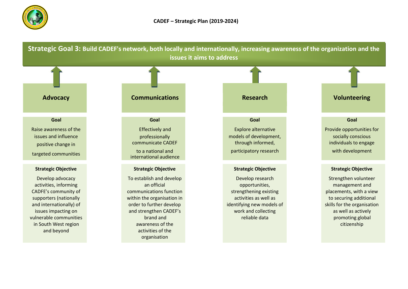